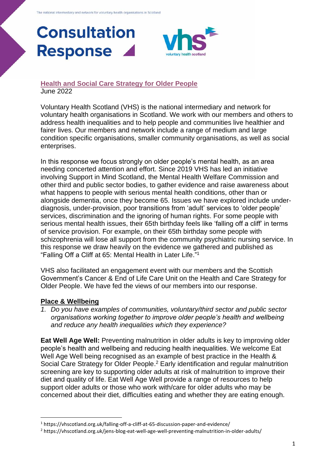# **Consultation Response**

## **[Health and Social Care Strategy for Older People](https://www.gov.scot/publications/consultation-health-social-care-strategy-older-people/pages/6/)** June 2022

Voluntary Health Scotland (VHS) is the national intermediary and network for voluntary health organisations in Scotland. We work with our members and others to address health inequalities and to help people and communities live healthier and fairer lives. Our members and network include a range of medium and large condition specific organisations, smaller community organisations, as well as social enterprises.

In this response we focus strongly on older people's mental health, as an area needing concerted attention and effort. Since 2019 VHS has led an initiative involving Support in Mind Scotland, the Mental Health Welfare Commission and other third and public sector bodies, to gather evidence and raise awareness about what happens to people with serious mental health conditions, other than or alongside dementia, once they become 65. Issues we have explored include underdiagnosis, under-provision, poor transitions from 'adult' services to 'older people' services, discrimination and the ignoring of human rights. For some people with serious mental health issues, their 65th birthday feels like 'falling off a cliff' in terms of service provision. For example, on their 65th birthday some people with schizophrenia will lose all support from the community psychiatric nursing service. In this response we draw heavily on the evidence we gathered and published as "Falling Off a Cliff at 65: Mental Health in Later Life." 1

VHS also facilitated an engagement event with our members and the Scottish Government's Cancer & End of Life Care Unit on the Health and Care Strategy for Older People. We have fed the views of our members into our response.

# **Place & Wellbeing**

*1. Do you have examples of communities, voluntary/third sector and public sector organisations working together to improve older people's health and wellbeing and reduce any health inequalities which they experience?*

**Eat Well Age Well:** Preventing malnutrition in older adults is key to improving older people's health and wellbeing and reducing health inequalities. We welcome Eat Well Age Well being recognised as an example of best practice in the Health & Social Care Strategy for Older People.<sup>2</sup> Early identification and regular malnutrition screening are key to supporting older adults at risk of malnutrition to improve their diet and quality of life. Eat Well Age Well provide a range of resources to help support older adults or those who work with/care for older adults who may be concerned about their diet, difficulties eating and whether they are eating enough.

<sup>1</sup> https://vhscotland.org.uk/falling-off-a-cliff-at-65-discussion-paper-and-evidence/

<sup>2</sup> https://vhscotland.org.uk/jens-blog-eat-well-age-well-preventing-malnutrition-in-older-adults/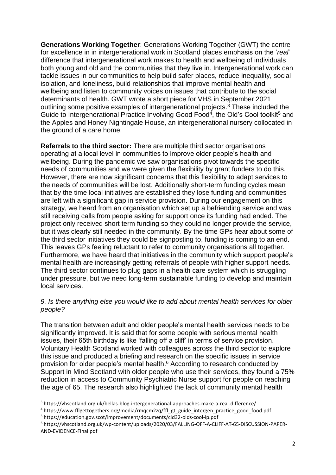**Generations Working Together**: Generations Working Together (GWT) the centre for excellence in in intergenerational work in Scotland places emphasis on the '*real*' difference that intergenerational work makes to health and wellbeing of individuals both young and old and the communities that they live in. Intergenerational work can tackle issues in our communities to help build safer places, reduce inequality, social isolation, and loneliness, build relationships that improve mental health and wellbeing and listen to community voices on issues that contribute to the social determinants of health. GWT wrote a short piece for VHS in September 2021 outlining some positive examples of intergenerational projects.<sup>3</sup> These included the Guide to Intergenerational Practice Involving Good Food<sup>4</sup>, the Old's Cool toolkit<sup>5</sup> and the Apples and Honey Nightingale House, an intergenerational nursery collocated in the ground of a care home.

**Referrals to the third sector:** There are multiple third sector organisations operating at a local level in communities to improve older people's health and wellbeing. During the pandemic we saw organisations pivot towards the specific needs of communities and we were given the flexibility by grant funders to do this. However, there are now significant concerns that this flexibility to adapt services to the needs of communities will be lost. Additionally short-term funding cycles mean that by the time local initiatives are established they lose funding and communities are left with a significant gap in service provision. During our engagement on this strategy, we heard from an organisation which set up a befriending service and was still receiving calls from people asking for support once its funding had ended. The project only received short term funding so they could no longer provide the service, but it was clearly still needed in the community. By the time GPs hear about some of the third sector initiatives they could be signposting to, funding is coming to an end. This leaves GPs feeling reluctant to refer to community organisations all together. Furthermore, we have heard that initiatives in the community which support people's mental health are increasingly getting referrals of people with higher support needs. The third sector continues to plug gaps in a health care system which is struggling under pressure, but we need long-term sustainable funding to develop and maintain local services.

### *9. Is there anything else you would like to add about mental health services for older people?*

The transition between adult and older people's mental health services needs to be significantly improved. It is said that for some people with serious mental health issues, their 65th birthday is like 'falling off a cliff' in terms of service provision. Voluntary Health Scotland worked with colleagues across the third sector to explore this issue and produced a briefing and research on the specific issues in service provision for older people's mental health.<sup>6</sup> According to research conducted by Support in Mind Scotland with older people who use their services, they found a 75% reduction in access to Community Psychiatric Nurse support for people on reaching the age of 65. The research also highlighted the lack of community mental health

<sup>3</sup> https://vhscotland.org.uk/bellas-blog-intergenerational-approaches-make-a-real-difference/

<sup>&</sup>lt;sup>4</sup> https://www.fflgettogethers.org/media/rmqcm2zq/ffl\_gt\_guide\_intergen\_practice\_good\_food.pdf <sup>5</sup> https://education.gov.scot/improvement/documents/cld32-olds-cool-ip.pdf

<sup>6</sup> https://vhscotland.org.uk/wp-content/uploads/2020/03/FALLING-OFF-A-CLIFF-AT-65-DISCUSSION-PAPER-AND-EVIDENCE-Final.pdf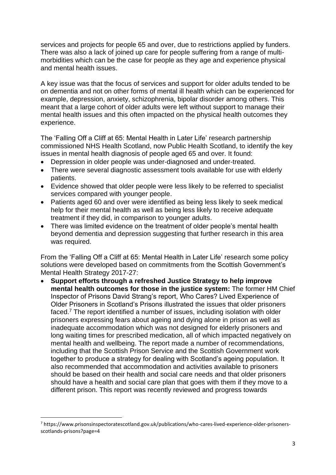services and projects for people 65 and over, due to restrictions applied by funders. There was also a lack of joined up care for people suffering from a range of multimorbidities which can be the case for people as they age and experience physical and mental health issues.

A key issue was that the focus of services and support for older adults tended to be on dementia and not on other forms of mental ill health which can be experienced for example, depression, anxiety, schizophrenia, bipolar disorder among others. This meant that a large cohort of older adults were left without support to manage their mental health issues and this often impacted on the physical health outcomes they experience.

The 'Falling Off a Cliff at 65: Mental Health in Later Life' research partnership commissioned NHS Health Scotland, now Public Health Scotland, to identify the key issues in mental health diagnosis of people aged 65 and over. It found:

- Depression in older people was under-diagnosed and under-treated.
- There were several diagnostic assessment tools available for use with elderly patients.
- Evidence showed that older people were less likely to be referred to specialist services compared with younger people.
- Patients aged 60 and over were identified as being less likely to seek medical help for their mental health as well as being less likely to receive adequate treatment if they did, in comparison to younger adults.
- There was limited evidence on the treatment of older people's mental health beyond dementia and depression suggesting that further research in this area was required.

From the 'Falling Off a Cliff at 65: Mental Health in Later Life' research some policy solutions were developed based on commitments from the Scottish Government's Mental Health Strategy 2017-27:

• **Support efforts through a refreshed Justice Strategy to help improve mental health outcomes for those in the justice system:** The former HM Chief Inspector of Prisons David Strang's report, Who Cares? Lived Experience of Older Prisoners in Scotland's Prisons illustrated the issues that older prisoners faced.<sup>7</sup> The report identified a number of issues, including isolation with older prisoners expressing fears about ageing and dying alone in prison as well as inadequate accommodation which was not designed for elderly prisoners and long waiting times for prescribed medication, all of which impacted negatively on mental health and wellbeing. The report made a number of recommendations, including that the Scottish Prison Service and the Scottish Government work together to produce a strategy for dealing with Scotland's ageing population. It also recommended that accommodation and activities available to prisoners should be based on their health and social care needs and that older prisoners should have a health and social care plan that goes with them if they move to a different prison. This report was recently reviewed and progress towards

<sup>7</sup> https://www.prisonsinspectoratescotland.gov.uk/publications/who-cares-lived-experience-older-prisonersscotlands-prisons?page=4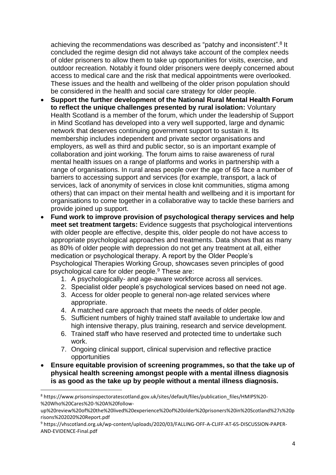achieving the recommendations was described as "patchy and inconsistent".<sup>8</sup> It concluded the regime design did not always take account of the complex needs of older prisoners to allow them to take up opportunities for visits, exercise, and outdoor recreation. Notably it found older prisoners were deeply concerned about access to medical care and the risk that medical appointments were overlooked. These issues and the health and wellbeing of the older prison population should be considered in the health and social care strategy for older people.

- **Support the further development of the National Rural Mental Health Forum to reflect the unique challenges presented by rural isolation:** Voluntary Health Scotland is a member of the forum, which under the leadership of Support in Mind Scotland has developed into a very well supported, large and dynamic network that deserves continuing government support to sustain it. Its membership includes independent and private sector organisations and employers, as well as third and public sector, so is an important example of collaboration and joint working. The forum aims to raise awareness of rural mental health issues on a range of platforms and works in partnership with a range of organisations. In rural areas people over the age of 65 face a number of barriers to accessing support and services (for example, transport, a lack of services, lack of anonymity of services in close knit communities, stigma among others) that can impact on their mental health and wellbeing and it is important for organisations to come together in a collaborative way to tackle these barriers and provide joined up support.
- **Fund work to improve provision of psychological therapy services and help meet set treatment targets:** Evidence suggests that psychological interventions with older people are effective, despite this, older people do not have access to appropriate psychological approaches and treatments. Data shows that as many as 80% of older people with depression do not get any treatment at all, either medication or psychological therapy. A report by the Older People's Psychological Therapies Working Group, showcases seven principles of good psychological care for older people.<sup>9</sup> These are:
	- 1. A psychologically- and age-aware workforce across all services.
	- 2. Specialist older people's psychological services based on need not age.
	- 3. Access for older people to general non-age related services where appropriate.
	- 4. A matched care approach that meets the needs of older people.
	- 5. Sufficient numbers of highly trained staff available to undertake low and high intensive therapy, plus training, research and service development.
	- 6. Trained staff who have reserved and protected time to undertake such work.
	- 7. Ongoing clinical support, clinical supervision and reflective practice opportunities
- **Ensure equitable provision of screening programmes, so that the take up of physical health screening amongst people with a mental illness diagnosis is as good as the take up by people without a mental illness diagnosis.**

<sup>8</sup> https://www.prisonsinspectoratescotland.gov.uk/sites/default/files/publication\_files/HMIPS%20- %20Who%20Cares%20-%20A%20follow-

up%20review%20of%20the%20lived%20experience%20of%20older%20prisoners%20in%20Scotland%27s%20p risons%202020%20Report.pdf

<sup>9</sup> https://vhscotland.org.uk/wp-content/uploads/2020/03/FALLING-OFF-A-CLIFF-AT-65-DISCUSSION-PAPER-AND-EVIDENCE-Final.pdf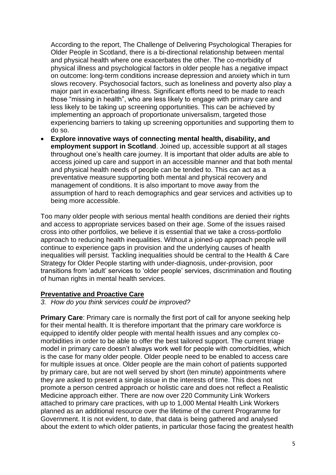According to the report, The Challenge of Delivering Psychological Therapies for Older People in Scotland, there is a bi-directional relationship between mental and physical health where one exacerbates the other. The co-morbidity of physical illness and psychological factors in older people has a negative impact on outcome: long-term conditions increase depression and anxiety which in turn slows recovery. Psychosocial factors, such as loneliness and poverty also play a major part in exacerbating illness. Significant efforts need to be made to reach those "missing in health", who are less likely to engage with primary care and less likely to be taking up screening opportunities. This can be achieved by implementing an approach of proportionate universalism, targeted those experiencing barriers to taking up screening opportunities and supporting them to do so.

• **Explore innovative ways of connecting mental health, disability, and employment support in Scotland**. Joined up, accessible support at all stages throughout one's health care journey. It is important that older adults are able to access joined up care and support in an accessible manner and that both mental and physical health needs of people can be tended to. This can act as a preventative measure supporting both mental and physical recovery and management of conditions. It is also important to move away from the assumption of hard to reach demographics and gear services and activities up to being more accessible.

Too many older people with serious mental health conditions are denied their rights and access to appropriate services based on their age. Some of the issues raised cross into other portfolios, we believe it is essential that we take a cross-portfolio approach to reducing health inequalities. Without a joined-up approach people will continue to experience gaps in provision and the underlying causes of health inequalities will persist. Tackling inequalities should be central to the Health & Care Strategy for Older People starting with under-diagnosis, under-provision, poor transitions from 'adult' services to 'older people' services, discrimination and flouting of human rights in mental health services.

# **Preventative and Proactive Care**

#### *3. How do you think services could be improved?*

**Primary Care:** Primary care is normally the first port of call for anyone seeking help for their mental health. It is therefore important that the primary care workforce is equipped to identify older people with mental health issues and any complex comorbidities in order to be able to offer the best tailored support. The current triage model in primary care doesn't always work well for people with comorbidities, which is the case for many older people. Older people need to be enabled to access care for multiple issues at once. Older people are the main cohort of patients supported by primary care, but are not well served by short (ten minute) appointments where they are asked to present a single issue in the interests of time. This does not promote a person centred approach or holistic care and does not reflect a Realistic Medicine approach either. There are now over 220 Community Link Workers attached to primary care practices, with up to 1,000 Mental Health Link Workers planned as an additional resource over the lifetime of the current Programme for Government. It is not evident, to date, that data is being gathered and analysed about the extent to which older patients, in particular those facing the greatest health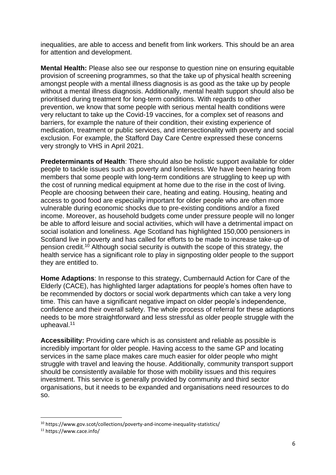inequalities, are able to access and benefit from link workers. This should be an area for attention and development.

**Mental Health:** Please also see our response to question nine on ensuring equitable provision of screening programmes, so that the take up of physical health screening amongst people with a mental illness diagnosis is as good as the take up by people without a mental illness diagnosis. Additionally, mental health support should also be prioritised during treatment for long-term conditions. With regards to other prevention, we know that some people with serious mental health conditions were very reluctant to take up the Covid-19 vaccines, for a complex set of reasons and barriers, for example the nature of their condition, their existing experience of medication, treatment or public services, and intersectionality with poverty and social exclusion. For example, the Stafford Day Care Centre expressed these concerns very strongly to VHS in April 2021.

**Predeterminants of Health**: There should also be holistic support available for older people to tackle issues such as poverty and loneliness. We have been hearing from members that some people with long-term conditions are struggling to keep up with the cost of running medical equipment at home due to the rise in the cost of living. People are choosing between their care, heating and eating. Housing, heating and access to good food are especially important for older people who are often more vulnerable during economic shocks due to pre-existing conditions and/or a fixed income. Moreover, as household budgets come under pressure people will no longer be able to afford leisure and social activities, which will have a detrimental impact on social isolation and loneliness. Age Scotland has highlighted 150,000 pensioners in Scotland live in poverty and has called for efforts to be made to increase take-up of pension credit. <sup>10</sup> Although social security is outwith the scope of this strategy, the health service has a significant role to play in signposting older people to the support they are entitled to.

**Home Adaptions**: In response to this strategy, Cumbernauld Action for Care of the Elderly (CACE), has highlighted larger adaptations for people's homes often have to be recommended by doctors or social work departments which can take a very long time. This can have a significant negative impact on older people's independence, confidence and their overall safety. The whole process of referral for these adaptions needs to be more straightforward and less stressful as older people struggle with the upheaval.<sup>11</sup>

**Accessibility:** Providing care which is as consistent and reliable as possible is incredibly important for older people. Having access to the same GP and locating services in the same place makes care much easier for older people who might struggle with travel and leaving the house. Additionally, community transport support should be consistently available for those with mobility issues and this requires investment. This service is generally provided by community and third sector organisations, but it needs to be expanded and organisations need resources to do so.

<sup>10</sup> https://www.gov.scot/collections/poverty-and-income-inequality-statistics/

<sup>11</sup> https://www.cace.info/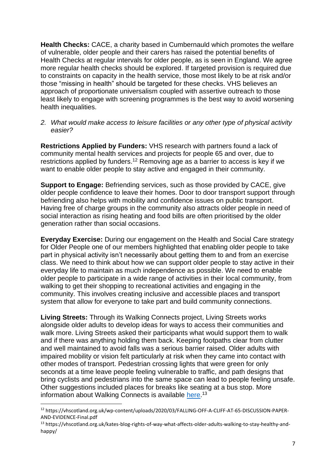**Health Checks:** CACE, a charity based in Cumbernauld which promotes the welfare of vulnerable, older people and their carers has raised the potential benefits of Health Checks at regular intervals for older people, as is seen in England. We agree more regular health checks should be explored. If targeted provision is required due to constraints on capacity in the health service, those most likely to be at risk and/or those "missing in health" should be targeted for these checks. VHS believes an approach of proportionate universalism coupled with assertive outreach to those least likely to engage with screening programmes is the best way to avoid worsening health inequalities.

#### *2. What would make access to leisure facilities or any other type of physical activity easier?*

**Restrictions Applied by Funders:** VHS research with partners found a lack of community mental health services and projects for people 65 and over, due to restrictions applied by funders.<sup>12</sup> Removing age as a barrier to access is key if we want to enable older people to stay active and engaged in their community.

**Support to Engage:** Befriending services, such as those provided by CACE, give older people confidence to leave their homes. Door to door transport support through befriending also helps with mobility and confidence issues on public transport. Having free of charge groups in the community also attracts older people in need of social interaction as rising heating and food bills are often prioritised by the older generation rather than social occasions.

**Everyday Exercise:** During our engagement on the Health and Social Care strategy for Older People one of our members highlighted that enabling older people to take part in physical activity isn't necessarily about getting them to and from an exercise class. We need to think about how we can support older people to stay active in their everyday life to maintain as much independence as possible. We need to enable older people to participate in a wide range of activities in their local community, from walking to get their shopping to recreational activities and engaging in the community. This involves creating inclusive and accessible places and transport system that allow for everyone to take part and build community connections.

**Living Streets:** Through its Walking Connects project, Living Streets works alongside older adults to develop ideas for ways to access their communities and walk more. Living Streets asked their participants what would support them to walk and if there was anything holding them back. Keeping footpaths clear from clutter and well maintained to avoid falls was a serious barrier raised. Older adults with impaired mobility or vision felt particularly at risk when they came into contact with other modes of transport. Pedestrian crossing lights that were green for only seconds at a time leave people feeling vulnerable to traffic, and path designs that bring cyclists and pedestrians into the same space can lead to people feeling unsafe. Other suggestions included places for breaks like seating at a bus stop. More information about Walking Connects is available [here.](https://vhscotland.org.uk/kates-blog-rights-of-way-what-affects-older-adults-walking-to-stay-healthy-and-happy/)<sup>13</sup>

<sup>12</sup> https://vhscotland.org.uk/wp-content/uploads/2020/03/FALLING-OFF-A-CLIFF-AT-65-DISCUSSION-PAPER-AND-EVIDENCE-Final.pdf

<sup>13</sup> https://vhscotland.org.uk/kates-blog-rights-of-way-what-affects-older-adults-walking-to-stay-healthy-andhappy/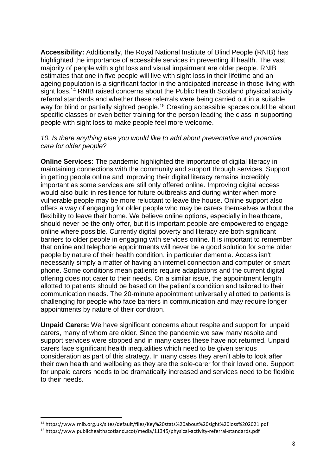**Accessibility:** Additionally, the Royal National Institute of Blind People (RNIB) has highlighted the importance of accessible services in preventing ill health. The vast majority of people with sight loss and visual impairment are older people. RNIB estimates that one in five people will live with sight loss in their lifetime and an ageing population is a significant factor in the anticipated increase in those living with sight loss.<sup>14</sup> RNIB raised concerns about the Public Health Scotland physical activity referral standards and whether these referrals were being carried out in a suitable way for blind or partially sighted people.<sup>15</sup> Creating accessible spaces could be about specific classes or even better training for the person leading the class in supporting people with sight loss to make people feel more welcome.

#### *10. Is there anything else you would like to add about preventative and proactive care for older people?*

**Online Services:** The pandemic highlighted the importance of digital literacy in maintaining connections with the community and support through services. Support in getting people online and improving their digital literacy remains incredibly important as some services are still only offered online. Improving digital access would also build in resilience for future outbreaks and during winter when more vulnerable people may be more reluctant to leave the house. Online support also offers a way of engaging for older people who may be carers themselves without the flexibility to leave their home. We believe online options, especially in healthcare, should never be the only offer, but it is important people are empowered to engage online where possible. Currently digital poverty and literacy are both significant barriers to older people in engaging with services online. It is important to remember that online and telephone appointments will never be a good solution for some older people by nature of their health condition, in particular dementia. Access isn't necessarily simply a matter of having an internet connection and computer or smart phone. Some conditions mean patients require adaptations and the current digital offering does not cater to their needs. On a similar issue, the appointment length allotted to patients should be based on the patient's condition and tailored to their communication needs. The 20-minute appointment universally allotted to patients is challenging for people who face barriers in communication and may require longer appointments by nature of their condition.

**Unpaid Carers:** We have significant concerns about respite and support for unpaid carers, many of whom are older. Since the pandemic we saw many respite and support services were stopped and in many cases these have not returned. Unpaid carers face significant health inequalities which need to be given serious consideration as part of this strategy. In many cases they aren't able to look after their own health and wellbeing as they are the sole-carer for their loved one. Support for unpaid carers needs to be dramatically increased and services need to be flexible to their needs.

<sup>14</sup> https://www.rnib.org.uk/sites/default/files/Key%20stats%20about%20sight%20loss%202021.pdf

<sup>15</sup> https://www.publichealthscotland.scot/media/11345/physical-activity-referral-standards.pdf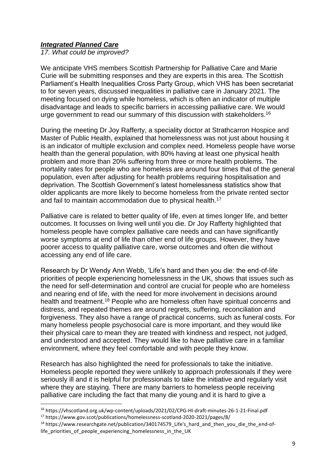## *Integrated Planned Care*

*17. What could be improved?*

We anticipate VHS members Scottish Partnership for Palliative Care and Marie Curie will be submitting responses and they are experts in this area. The Scottish Parliament's Health Inequalities Cross Party Group, which VHS has been secretariat to for seven years, discussed inequalities in palliative care in January 2021. The meeting focused on dying while homeless, which is often an indicator of multiple disadvantage and leads to specific barriers in accessing palliative care. We would urge government to read our summary of this discussion with stakeholders.<sup>16</sup>

During the meeting Dr Joy Rafferty, a speciality doctor at Strathcarron Hospice and Master of Public Health, explained that homelessness was not just about housing it is an indicator of multiple exclusion and complex need. Homeless people have worse health than the general population, with 80% having at least one physical health problem and more than 20% suffering from three or more health problems. The mortality rates for people who are homeless are around four times that of the general population, even after adjusting for health problems requiring hospitalisation and deprivation. The Scottish Government's latest homelessness statistics show that older applicants are more likely to become homeless from the private rented sector and fail to maintain accommodation due to physical health.<sup>17</sup>

Palliative care is related to better quality of life, even at times longer life, and better outcomes. It focusses on living well until you die. Dr Joy Rafferty highlighted that homeless people have complex palliative care needs and can have significantly worse symptoms at end of life than other end of life groups. However, they have poorer access to quality palliative care, worse outcomes and often die without accessing any end of life care.

Research by Dr Wendy Ann Webb, 'Life's hard and then you die: the end-of-life priorities of people experiencing homelessness in the UK, shows that issues such as the need for self-determination and control are crucial for people who are homeless and nearing end of life, with the need for more involvement in decisions around health and treatment.<sup>18</sup> People who are homeless often have spiritual concerns and distress, and repeated themes are around regrets, suffering, reconciliation and forgiveness. They also have a range of practical concerns, such as funeral costs. For many homeless people psychosocial care is more important, and they would like their physical care to mean they are treated with kindness and respect, not judged, and understood and accepted. They would like to have palliative care in a familiar environment, where they feel comfortable and with people they know.

Research has also highlighted the need for professionals to take the initiative. Homeless people reported they were unlikely to approach professionals if they were seriously ill and it is helpful for professionals to take the initiative and regularly visit where they are staying. There are many barriers to homeless people receiving palliative care including the fact that many die young and it is hard to give a

<sup>16</sup> https://vhscotland.org.uk/wp-content/uploads/2021/02/CPG-HI-draft-minutes-26-1-21-Final.pdf <sup>17</sup> https://www.gov.scot/publications/homelessness-scotland-2020-2021/pages/8/

 $18$  https://www.researchgate.net/publication/340174579\_Life's\_hard\_and\_then\_you\_die\_the\_end-oflife\_priorities\_of\_people\_experiencing\_homelessness\_in\_the\_UK